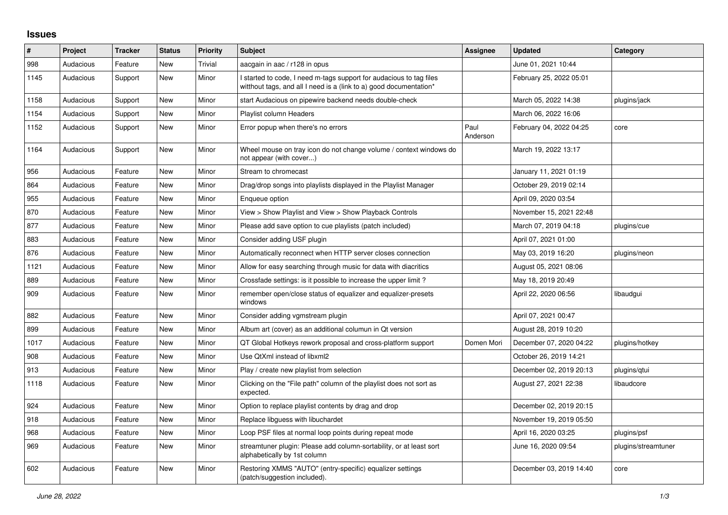## **Issues**

| #    | Project   | <b>Tracker</b> | <b>Status</b> | <b>Priority</b> | <b>Subject</b>                                                                                                                            | Assignee         | <b>Updated</b>          | Category            |
|------|-----------|----------------|---------------|-----------------|-------------------------------------------------------------------------------------------------------------------------------------------|------------------|-------------------------|---------------------|
| 998  | Audacious | Feature        | New           | Trivial         | aacgain in aac / r128 in opus                                                                                                             |                  | June 01, 2021 10:44     |                     |
| 1145 | Audacious | Support        | New           | Minor           | I started to code, I need m-tags support for audacious to tag files<br>witthout tags, and all I need is a (link to a) good documentation* |                  | February 25, 2022 05:01 |                     |
| 1158 | Audacious | Support        | <b>New</b>    | Minor           | start Audacious on pipewire backend needs double-check                                                                                    |                  | March 05, 2022 14:38    | plugins/jack        |
| 1154 | Audacious | Support        | <b>New</b>    | Minor           | <b>Playlist column Headers</b>                                                                                                            |                  | March 06, 2022 16:06    |                     |
| 1152 | Audacious | Support        | New           | Minor           | Error popup when there's no errors                                                                                                        | Paul<br>Anderson | February 04, 2022 04:25 | core                |
| 1164 | Audacious | Support        | New           | Minor           | Wheel mouse on tray icon do not change volume / context windows do<br>not appear (with cover)                                             |                  | March 19, 2022 13:17    |                     |
| 956  | Audacious | Feature        | <b>New</b>    | Minor           | Stream to chromecast                                                                                                                      |                  | January 11, 2021 01:19  |                     |
| 864  | Audacious | Feature        | <b>New</b>    | Minor           | Drag/drop songs into playlists displayed in the Playlist Manager                                                                          |                  | October 29, 2019 02:14  |                     |
| 955  | Audacious | Feature        | New           | Minor           | Enqueue option                                                                                                                            |                  | April 09, 2020 03:54    |                     |
| 870  | Audacious | Feature        | New           | Minor           | View > Show Playlist and View > Show Playback Controls                                                                                    |                  | November 15, 2021 22:48 |                     |
| 877  | Audacious | Feature        | New           | Minor           | Please add save option to cue playlists (patch included)                                                                                  |                  | March 07, 2019 04:18    | plugins/cue         |
| 883  | Audacious | Feature        | <b>New</b>    | Minor           | Consider adding USF plugin                                                                                                                |                  | April 07, 2021 01:00    |                     |
| 876  | Audacious | Feature        | New           | Minor           | Automatically reconnect when HTTP server closes connection                                                                                |                  | May 03, 2019 16:20      | plugins/neon        |
| 1121 | Audacious | Feature        | New           | Minor           | Allow for easy searching through music for data with diacritics                                                                           |                  | August 05, 2021 08:06   |                     |
| 889  | Audacious | Feature        | <b>New</b>    | Minor           | Crossfade settings: is it possible to increase the upper limit?                                                                           |                  | May 18, 2019 20:49      |                     |
| 909  | Audacious | Feature        | New           | Minor           | remember open/close status of equalizer and equalizer-presets<br>windows                                                                  |                  | April 22, 2020 06:56    | libaudgui           |
| 882  | Audacious | Feature        | <b>New</b>    | Minor           | Consider adding vgmstream plugin                                                                                                          |                  | April 07, 2021 00:47    |                     |
| 899  | Audacious | Feature        | New           | Minor           | Album art (cover) as an additional columun in Qt version                                                                                  |                  | August 28, 2019 10:20   |                     |
| 1017 | Audacious | Feature        | New           | Minor           | QT Global Hotkeys rework proposal and cross-platform support                                                                              | Domen Mori       | December 07, 2020 04:22 | plugins/hotkey      |
| 908  | Audacious | Feature        | New           | Minor           | Use QtXml instead of libxml2                                                                                                              |                  | October 26, 2019 14:21  |                     |
| 913  | Audacious | Feature        | New           | Minor           | Play / create new playlist from selection                                                                                                 |                  | December 02, 2019 20:13 | plugins/gtui        |
| 1118 | Audacious | Feature        | New           | Minor           | Clicking on the "File path" column of the playlist does not sort as<br>expected.                                                          |                  | August 27, 2021 22:38   | libaudcore          |
| 924  | Audacious | Feature        | New           | Minor           | Option to replace playlist contents by drag and drop                                                                                      |                  | December 02, 2019 20:15 |                     |
| 918  | Audacious | Feature        | <b>New</b>    | Minor           | Replace libguess with libuchardet                                                                                                         |                  | November 19, 2019 05:50 |                     |
| 968  | Audacious | Feature        | New           | Minor           | Loop PSF files at normal loop points during repeat mode                                                                                   |                  | April 16, 2020 03:25    | plugins/psf         |
| 969  | Audacious | Feature        | New           | Minor           | streamtuner plugin: Please add column-sortability, or at least sort<br>alphabetically by 1st column                                       |                  | June 16, 2020 09:54     | plugins/streamtuner |
| 602  | Audacious | Feature        | New           | Minor           | Restoring XMMS "AUTO" (entry-specific) equalizer settings<br>(patch/suggestion included).                                                 |                  | December 03, 2019 14:40 | core                |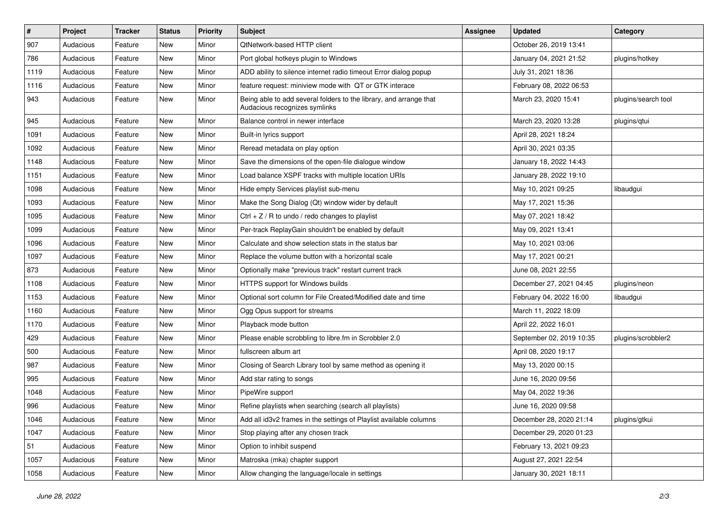| #    | Project   | <b>Tracker</b> | <b>Status</b> | <b>Priority</b> | Subject                                                                                             | <b>Assignee</b> | <b>Updated</b>           | Category            |
|------|-----------|----------------|---------------|-----------------|-----------------------------------------------------------------------------------------------------|-----------------|--------------------------|---------------------|
| 907  | Audacious | Feature        | New           | Minor           | QtNetwork-based HTTP client                                                                         |                 | October 26, 2019 13:41   |                     |
| 786  | Audacious | Feature        | New           | Minor           | Port global hotkeys plugin to Windows                                                               |                 | January 04, 2021 21:52   | plugins/hotkey      |
| 1119 | Audacious | Feature        | New           | Minor           | ADD ability to silence internet radio timeout Error dialog popup                                    |                 | July 31, 2021 18:36      |                     |
| 1116 | Audacious | Feature        | New           | Minor           | feature request: miniview mode with QT or GTK interace                                              |                 | February 08, 2022 06:53  |                     |
| 943  | Audacious | Feature        | New           | Minor           | Being able to add several folders to the library, and arrange that<br>Audacious recognizes symlinks |                 | March 23, 2020 15:41     | plugins/search tool |
| 945  | Audacious | Feature        | New           | Minor           | Balance control in newer interface                                                                  |                 | March 23, 2020 13:28     | plugins/qtui        |
| 1091 | Audacious | Feature        | New           | Minor           | Built-in lyrics support                                                                             |                 | April 28, 2021 18:24     |                     |
| 1092 | Audacious | Feature        | New           | Minor           | Reread metadata on play option                                                                      |                 | April 30, 2021 03:35     |                     |
| 1148 | Audacious | Feature        | New           | Minor           | Save the dimensions of the open-file dialogue window                                                |                 | January 18, 2022 14:43   |                     |
| 1151 | Audacious | Feature        | New           | Minor           | Load balance XSPF tracks with multiple location URIs                                                |                 | January 28, 2022 19:10   |                     |
| 1098 | Audacious | Feature        | New           | Minor           | Hide empty Services playlist sub-menu                                                               |                 | May 10, 2021 09:25       | libaudgui           |
| 1093 | Audacious | Feature        | New           | Minor           | Make the Song Dialog (Qt) window wider by default                                                   |                 | May 17, 2021 15:36       |                     |
| 1095 | Audacious | Feature        | New           | Minor           | $Ctrl + Z / R$ to undo / redo changes to playlist                                                   |                 | May 07, 2021 18:42       |                     |
| 1099 | Audacious | Feature        | New           | Minor           | Per-track ReplayGain shouldn't be enabled by default                                                |                 | May 09, 2021 13:41       |                     |
| 1096 | Audacious | Feature        | New           | Minor           | Calculate and show selection stats in the status bar                                                |                 | May 10, 2021 03:06       |                     |
| 1097 | Audacious | Feature        | New           | Minor           | Replace the volume button with a horizontal scale                                                   |                 | May 17, 2021 00:21       |                     |
| 873  | Audacious | Feature        | New           | Minor           | Optionally make "previous track" restart current track                                              |                 | June 08, 2021 22:55      |                     |
| 1108 | Audacious | Feature        | New           | Minor           | HTTPS support for Windows builds                                                                    |                 | December 27, 2021 04:45  | plugins/neon        |
| 1153 | Audacious | Feature        | New           | Minor           | Optional sort column for File Created/Modified date and time                                        |                 | February 04, 2022 16:00  | libaudgui           |
| 1160 | Audacious | Feature        | New           | Minor           | Ogg Opus support for streams                                                                        |                 | March 11, 2022 18:09     |                     |
| 1170 | Audacious | Feature        | New           | Minor           | Playback mode button                                                                                |                 | April 22, 2022 16:01     |                     |
| 429  | Audacious | Feature        | New           | Minor           | Please enable scrobbling to libre.fm in Scrobbler 2.0                                               |                 | September 02, 2019 10:35 | plugins/scrobbler2  |
| 500  | Audacious | Feature        | New           | Minor           | fullscreen album art                                                                                |                 | April 08, 2020 19:17     |                     |
| 987  | Audacious | Feature        | New           | Minor           | Closing of Search Library tool by same method as opening it                                         |                 | May 13, 2020 00:15       |                     |
| 995  | Audacious | Feature        | New           | Minor           | Add star rating to songs                                                                            |                 | June 16, 2020 09:56      |                     |
| 1048 | Audacious | Feature        | New           | Minor           | PipeWire support                                                                                    |                 | May 04, 2022 19:36       |                     |
| 996  | Audacious | Feature        | New           | Minor           | Refine playlists when searching (search all playlists)                                              |                 | June 16, 2020 09:58      |                     |
| 1046 | Audacious | Feature        | New           | Minor           | Add all id3v2 frames in the settings of Playlist available columns                                  |                 | December 28, 2020 21:14  | plugins/gtkui       |
| 1047 | Audacious | Feature        | New           | Minor           | Stop playing after any chosen track                                                                 |                 | December 29, 2020 01:23  |                     |
| 51   | Audacious | Feature        | New           | Minor           | Option to inhibit suspend                                                                           |                 | February 13, 2021 09:23  |                     |
| 1057 | Audacious | Feature        | New           | Minor           | Matroska (mka) chapter support                                                                      |                 | August 27, 2021 22:54    |                     |
| 1058 | Audacious | Feature        | New           | Minor           | Allow changing the language/locale in settings                                                      |                 | January 30, 2021 18:11   |                     |